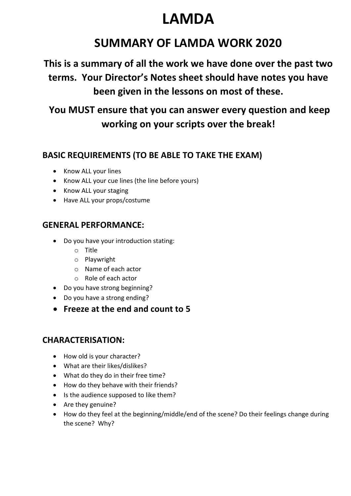# **LAMDA**

# **SUMMARY OF LAMDA WORK 2020**

**This is a summary of all the work we have done over the past two terms. Your Director's Notes sheet should have notes you have been given in the lessons on most of these.**

**You MUST ensure that you can answer every question and keep working on your scripts over the break!**

## **BASIC REQUIREMENTS (TO BE ABLE TO TAKE THE EXAM)**

- Know ALL your lines
- Know ALL your cue lines (the line before yours)
- Know ALL your staging
- Have ALL your props/costume

# **GENERAL PERFORMANCE:**

- Do you have your introduction stating:
	- o Title
	- o Playwright
	- o Name of each actor
	- o Role of each actor
- Do you have strong beginning?
- Do you have a strong ending?
- **Freeze at the end and count to 5**

## **CHARACTERISATION:**

- How old is your character?
- What are their likes/dislikes?
- What do they do in their free time?
- How do they behave with their friends?
- Is the audience supposed to like them?
- Are they genuine?
- How do they feel at the beginning/middle/end of the scene? Do their feelings change during the scene? Why?